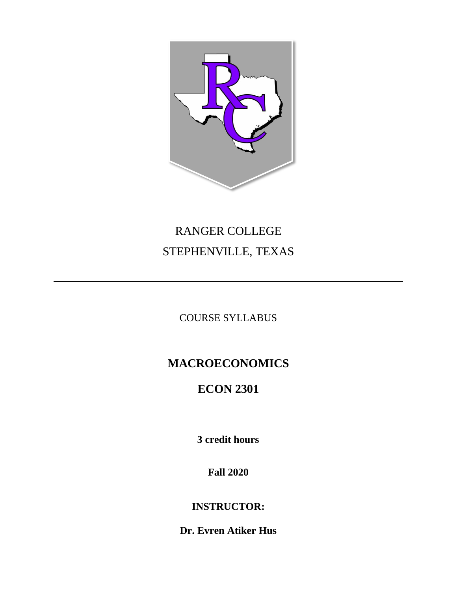

# RANGER COLLEGE STEPHENVILLE, TEXAS

COURSE SYLLABUS

# **MACROECONOMICS**

# **ECON 2301**

**3 credit hours**

**Fall 2020**

**INSTRUCTOR:**

**Dr. Evren Atiker Hus**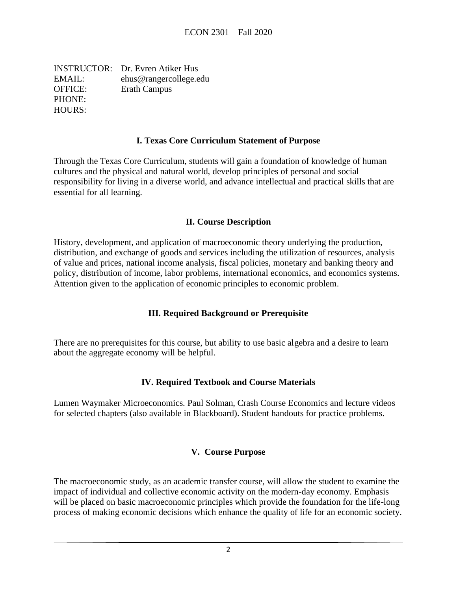INSTRUCTOR: Dr. Evren Atiker Hus EMAIL: ehus@rangercollege.edu OFFICE: Erath Campus PHONE: HOURS:

#### **I. Texas Core Curriculum Statement of Purpose**

Through the Texas Core Curriculum, students will gain a foundation of knowledge of human cultures and the physical and natural world, develop principles of personal and social responsibility for living in a diverse world, and advance intellectual and practical skills that are essential for all learning.

#### **II. Course Description**

History, development, and application of macroeconomic theory underlying the production, distribution, and exchange of goods and services including the utilization of resources, analysis of value and prices, national income analysis, fiscal policies, monetary and banking theory and policy, distribution of income, labor problems, international economics, and economics systems. Attention given to the application of economic principles to economic problem.

#### **III. Required Background or Prerequisite**

There are no prerequisites for this course, but ability to use basic algebra and a desire to learn about the aggregate economy will be helpful.

#### **IV. Required Textbook and Course Materials**

Lumen Waymaker Microeconomics. Paul Solman, Crash Course Economics and lecture videos for selected chapters (also available in Blackboard). Student handouts for practice problems.

#### **V. Course Purpose**

The macroeconomic study, as an academic transfer course, will allow the student to examine the impact of individual and collective economic activity on the modern-day economy. Emphasis will be placed on basic macroeconomic principles which provide the foundation for the life-long process of making economic decisions which enhance the quality of life for an economic society.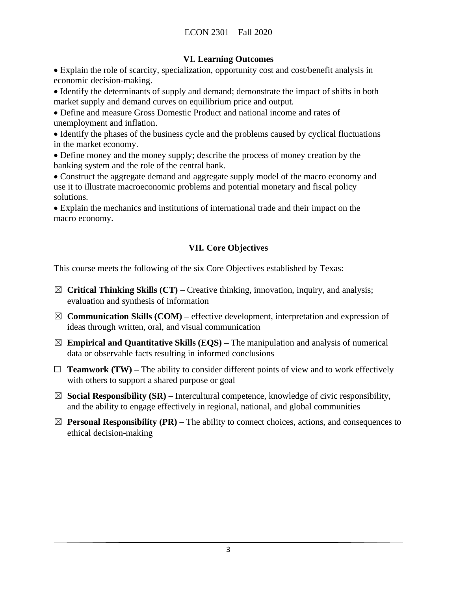### **VI. Learning Outcomes**

• Explain the role of scarcity, specialization, opportunity cost and cost/benefit analysis in economic decision-making.

• Identify the determinants of supply and demand; demonstrate the impact of shifts in both market supply and demand curves on equilibrium price and output.

• Define and measure Gross Domestic Product and national income and rates of unemployment and inflation.

• Identify the phases of the business cycle and the problems caused by cyclical fluctuations in the market economy.

• Define money and the money supply; describe the process of money creation by the banking system and the role of the central bank.

• Construct the aggregate demand and aggregate supply model of the macro economy and use it to illustrate macroeconomic problems and potential monetary and fiscal policy solutions.

• Explain the mechanics and institutions of international trade and their impact on the macro economy.

# **VII. Core Objectives**

This course meets the following of the six Core Objectives established by Texas:

- ☒ **Critical Thinking Skills (CT) –** Creative thinking, innovation, inquiry, and analysis; evaluation and synthesis of information
- $\boxtimes$  **Communication Skills (COM)** effective development, interpretation and expression of ideas through written, oral, and visual communication
- $\boxtimes$  **Empirical and Quantitative Skills (EQS)** The manipulation and analysis of numerical data or observable facts resulting in informed conclusions
- $\Box$  **Teamwork (TW)** The ability to consider different points of view and to work effectively with others to support a shared purpose or goal
- $\boxtimes$  **Social Responsibility (SR)** Intercultural competence, knowledge of civic responsibility, and the ability to engage effectively in regional, national, and global communities
- $\boxtimes$  **Personal Responsibility (PR)** The ability to connect choices, actions, and consequences to ethical decision-making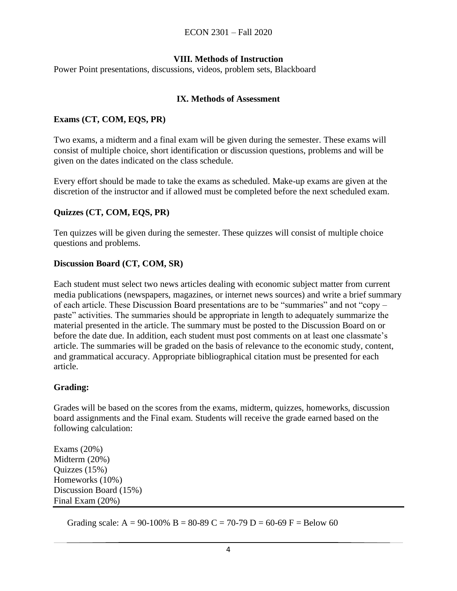### **VIII. Methods of Instruction**

Power Point presentations, discussions, videos, problem sets, Blackboard

#### **IX. Methods of Assessment**

#### **Exams (CT, COM, EQS, PR)**

Two exams, a midterm and a final exam will be given during the semester. These exams will consist of multiple choice, short identification or discussion questions, problems and will be given on the dates indicated on the class schedule.

Every effort should be made to take the exams as scheduled. Make-up exams are given at the discretion of the instructor and if allowed must be completed before the next scheduled exam.

#### **Quizzes (CT, COM, EQS, PR)**

Ten quizzes will be given during the semester. These quizzes will consist of multiple choice questions and problems.

#### **Discussion Board (CT, COM, SR)**

Each student must select two news articles dealing with economic subject matter from current media publications (newspapers, magazines, or internet news sources) and write a brief summary of each article. These Discussion Board presentations are to be "summaries" and not "copy – paste" activities. The summaries should be appropriate in length to adequately summarize the material presented in the article. The summary must be posted to the Discussion Board on or before the date due. In addition, each student must post comments on at least one classmate's article. The summaries will be graded on the basis of relevance to the economic study, content, and grammatical accuracy. Appropriate bibliographical citation must be presented for each article.

#### **Grading:**

Grades will be based on the scores from the exams, midterm, quizzes, homeworks, discussion board assignments and the Final exam. Students will receive the grade earned based on the following calculation:

Exams (20%) Midterm (20%) Quizzes (15%) Homeworks (10%) Discussion Board (15%) Final Exam (20%)

Grading scale: A = 90-100% B = 80-89 C = 70-79 D = 60-69 F = Below 60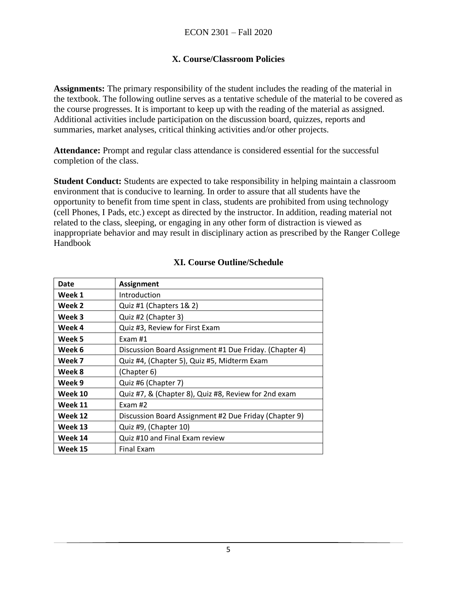# **X. Course/Classroom Policies**

**Assignments:** The primary responsibility of the student includes the reading of the material in the textbook. The following outline serves as a tentative schedule of the material to be covered as the course progresses. It is important to keep up with the reading of the material as assigned. Additional activities include participation on the discussion board, quizzes, reports and summaries, market analyses, critical thinking activities and/or other projects.

**Attendance:** Prompt and regular class attendance is considered essential for the successful completion of the class.

**Student Conduct:** Students are expected to take responsibility in helping maintain a classroom environment that is conducive to learning. In order to assure that all students have the opportunity to benefit from time spent in class, students are prohibited from using technology (cell Phones, I Pads, etc.) except as directed by the instructor. In addition, reading material not related to the class, sleeping, or engaging in any other form of distraction is viewed as inappropriate behavior and may result in disciplinary action as prescribed by the Ranger College Handbook

| Date    | Assignment                                             |
|---------|--------------------------------------------------------|
| Week 1  | Introduction                                           |
| Week 2  | Quiz #1 (Chapters 1& 2)                                |
| Week 3  | Quiz #2 (Chapter 3)                                    |
| Week 4  | Quiz #3, Review for First Exam                         |
| Week 5  | Exam $#1$                                              |
| Week 6  | Discussion Board Assignment #1 Due Friday. (Chapter 4) |
| Week 7  | Quiz #4, (Chapter 5), Quiz #5, Midterm Exam            |
| Week 8  | (Chapter 6)                                            |
| Week 9  | Quiz #6 (Chapter 7)                                    |
| Week 10 | Quiz #7, & (Chapter 8), Quiz #8, Review for 2nd exam   |
| Week 11 | Exam #2                                                |
| Week 12 | Discussion Board Assignment #2 Due Friday (Chapter 9)  |
| Week 13 | Quiz #9, (Chapter 10)                                  |
| Week 14 | Quiz #10 and Final Exam review                         |
| Week 15 | <b>Final Exam</b>                                      |

# **XI. Course Outline/Schedule**